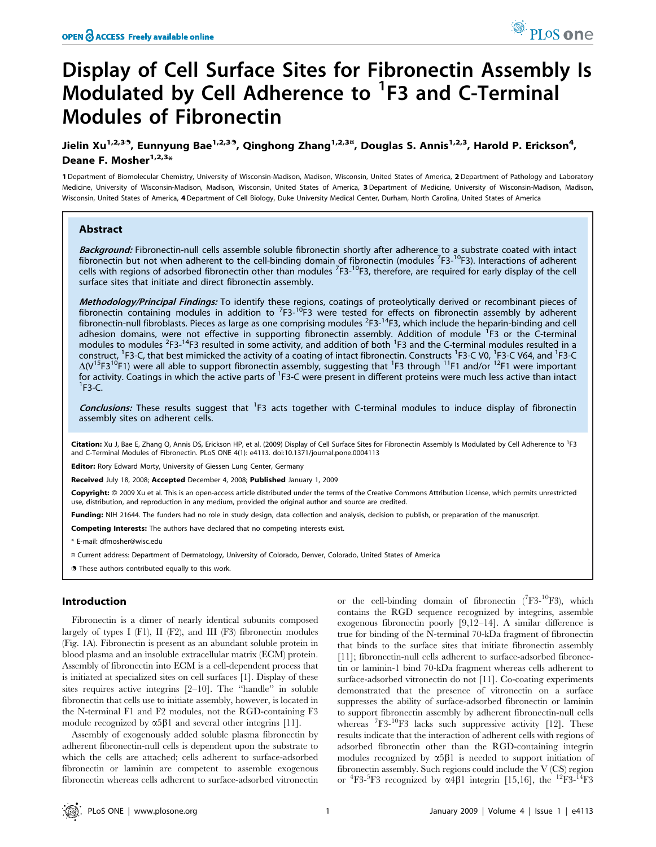# Display of Cell Surface Sites for Fibronectin Assembly Is Modulated by Cell Adherence to <sup>1</sup>F3 and C-Terminal Modules of Fibronectin

Jielin Xu<sup>1,2,39</sup>, Eunnyung Bae<sup>1,2,39</sup>, Qinghong Zhang<sup>1,2,3¤</sup>, Douglas S. Annis<sup>1,2,3</sup>, Harold P. Erickson<sup>4</sup>, Deane F. Mosher<sup>1,2,3</sup>\*

1 Department of Biomolecular Chemistry, University of Wisconsin-Madison, Madison, Wisconsin, United States of America, 2 Department of Pathology and Laboratory Medicine, University of Wisconsin-Madison, Madison, Wisconsin, United States of America, 3 Department of Medicine, University of Wisconsin-Madison, Madison, Wisconsin, United States of America, 4Department of Cell Biology, Duke University Medical Center, Durham, North Carolina, United States of America

#### Abstract

Background: Fibronectin-null cells assemble soluble fibronectin shortly after adherence to a substrate coated with intact fibronectin but not when adherent to the cell-binding domain of fibronectin (modules <sup>7</sup>F3-<sup>10</sup>F3). Interactions of adherent cells with regions of adsorbed fibronectin other than modules <sup>7</sup>F3-<sup>10</sup>F3, therefore, are required for early display of the cell surface sites that initiate and direct fibronectin assembly.

Methodology/Principal Findings: To identify these regions, coatings of proteolytically derived or recombinant pieces of fibronectin containing modules in addition to <sup>7</sup>F3-<sup>10</sup>F3 were tested for effects on fibronectin assembly by adherent fibronectin-null fibroblasts. Pieces as large as one comprising modules <sup>2</sup>F3-<sup>14</sup>F3, which include the heparin-binding and cell adhesion domains, were not effective in supporting fibronectin assembly. Addition of module <sup>1</sup>F3 or the C-terminal modules to modules <sup>2</sup>F3-<sup>14</sup>F3 resulted in some activity, and addition of both <sup>1</sup>F3 and the C-terminal modules resulted in a construct, <sup>1</sup>F3-C, that best mimicked the activity of a coating of intact fibronectin. Constructs <sup>1</sup>F3-C V0, <sup>1</sup>F3-C V64, and <sup>1</sup>F3-C  $\Delta$ (V<sup>15</sup>F3<sup>10</sup>F1) were all able to support fibronectin assembly, suggesting that <sup>1</sup>F3 through <sup>11</sup>F1 and/or <sup>12</sup>F1 were important for activity. Coatings in which the active parts of <sup>1</sup>F3-C were present in different proteins were much less active than intact<br><sup>1</sup>F3-C  ${}^{1}$ F3-C.

Conclusions: These results suggest that <sup>1</sup>F3 acts together with C-terminal modules to induce display of fibronectin assembly sites on adherent cells.

Citation: Xu J, Bae E, Zhang Q, Annis DS, Erickson HP, et al. (2009) Display of Cell Surface Sites for Fibronectin Assembly Is Modulated by Cell Adherence to <sup>1</sup>F3 and C-Terminal Modules of Fibronectin. PLoS ONE 4(1): e4113. doi:10.1371/journal.pone.0004113

Editor: Rory Edward Morty, University of Giessen Lung Center, Germany

Received July 18, 2008; Accepted December 4, 2008; Published January 1, 2009

Copyright: @ 2009 Xu et al. This is an open-access article distributed under the terms of the Creative Commons Attribution License, which permits unrestricted use, distribution, and reproduction in any medium, provided the original author and source are credited.

Funding: NIH 21644. The funders had no role in study design, data collection and analysis, decision to publish, or preparation of the manuscript.

Competing Interests: The authors have declared that no competing interests exist.

\* E-mail: dfmosher@wisc.edu

- ¤ Current address: Department of Dermatology, University of Colorado, Denver, Colorado, United States of America
- . These authors contributed equally to this work.

### Introduction

Fibronectin is a dimer of nearly identical subunits composed largely of types I (F1), II (F2), and III (F3) fibronectin modules (Fig. 1A). Fibronectin is present as an abundant soluble protein in blood plasma and an insoluble extracellular matrix (ECM) protein. Assembly of fibronectin into ECM is a cell-dependent process that is initiated at specialized sites on cell surfaces [1]. Display of these sites requires active integrins [2–10]. The ''handle'' in soluble fibronectin that cells use to initiate assembly, however, is located in the N-terminal F1 and F2 modules, not the RGD-containing F3 module recognized by  $\alpha 5\beta 1$  and several other integrins [11].

Assembly of exogenously added soluble plasma fibronectin by adherent fibronectin-null cells is dependent upon the substrate to which the cells are attached; cells adherent to surface-adsorbed fibronectin or laminin are competent to assemble exogenous fibronectin whereas cells adherent to surface-adsorbed vitronectin

or the cell-binding domain of fibronectin  $(^{7}F3-^{10}F3)$ , which contains the RGD sequence recognized by integrins, assemble exogenous fibronectin poorly [9,12–14]. A similar difference is true for binding of the N-terminal 70-kDa fragment of fibronectin that binds to the surface sites that initiate fibronectin assembly [11]; fibronectin-null cells adherent to surface-adsorbed fibronectin or laminin-1 bind 70-kDa fragment whereas cells adherent to surface-adsorbed vitronectin do not [11]. Co-coating experiments demonstrated that the presence of vitronectin on a surface suppresses the ability of surface-adsorbed fibronectin or laminin to support fibronectin assembly by adherent fibronectin-null cells whereas <sup>7</sup>F3-<sup>10</sup>F3 lacks such suppressive activity [12]. These results indicate that the interaction of adherent cells with regions of adsorbed fibronectin other than the RGD-containing integrin modules recognized by  $\alpha 5\beta 1$  is needed to support initiation of fibronectin assembly. Such regions could include the V (CS) region or  ${}^{4}F3-{}^{5}F3$  recognized by  $\alpha 4\beta 1$  integrin [15,16], the  ${}^{12}F3-{}^{14}F3$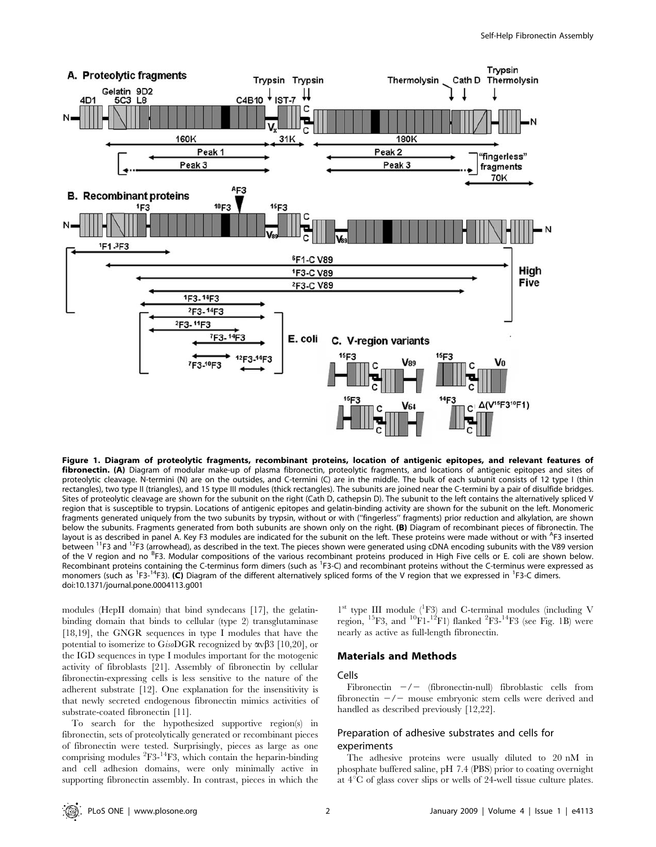

Figure 1. Diagram of proteolytic fragments, recombinant proteins, location of antigenic epitopes, and relevant features of fibronectin. (A) Diagram of modular make-up of plasma fibronectin, proteolytic fragments, and locations of antigenic epitopes and sites of proteolytic cleavage. N-termini (N) are on the outsides, and C-termini (C) are in the middle. The bulk of each subunit consists of 12 type I (thin rectangles), two type II (triangles), and 15 type III modules (thick rectangles). The subunits are joined near the C-termini by a pair of disulfide bridges. Sites of proteolytic cleavage are shown for the subunit on the right (Cath D, cathepsin D). The subunit to the left contains the alternatively spliced V region that is susceptible to trypsin. Locations of antigenic epitopes and gelatin-binding activity are shown for the subunit on the left. Monomeric fragments generated uniquely from the two subunits by trypsin, without or with (''fingerless'' fragments) prior reduction and alkylation, are shown below the subunits. Fragments generated from both subunits are shown only on the right. (B) Diagram of recombinant pieces of fibronectin. The layout is as described in panel A. Key F3 modules are indicated for the subunit on the left. These proteins were made without or with <sup>A</sup>F3 inserted between <sup>11</sup>F3 and <sup>12</sup>F3 (arrowhead), as described in the text. The pieces shown were generated using cDNA encoding subunits with the V89 version of the V region and no <sup>B</sup>F3. Modular compositions of the various recombinant proteins produced in High Five cells or E. coli are shown below. Recombinant proteins containing the C-terminus form dimers (such as <sup>1</sup>F3-C) and recombinant proteins without the C-terminus were expressed as monomers (such as <sup>1</sup>F3-<sup>14</sup>F3). (C) Diagram of the different alternatively spliced forms of the V region that we expressed in <sup>1</sup>F3-C dimers. doi:10.1371/journal.pone.0004113.g001

modules (HepII domain) that bind syndecans [17], the gelatinbinding domain that binds to cellular (type 2) transglutaminase [18,19], the GNGR sequences in type I modules that have the potential to isomerize to GisoDGR recognized by  $\alpha v \beta$ 3 [10,20], or the IGD sequences in type I modules important for the motogenic activity of fibroblasts [21]. Assembly of fibronectin by cellular fibronectin-expressing cells is less sensitive to the nature of the adherent substrate [12]. One explanation for the insensitivity is that newly secreted endogenous fibronectin mimics activities of substrate-coated fibronectin [11].

To search for the hypothesized supportive region(s) in fibronectin, sets of proteolytically generated or recombinant pieces of fibronectin were tested. Surprisingly, pieces as large as one comprising modules  ${}^{2}F3-{}^{14}F3$ , which contain the heparin-binding and cell adhesion domains, were only minimally active in supporting fibronectin assembly. In contrast, pieces in which the

1<sup>st</sup> type III module (<sup>1</sup>F3) and C-terminal modules (including V region, <sup>15</sup>F3, and <sup>10</sup>F1-<sup>12</sup>F1) flanked <sup>2</sup>F3-<sup>14</sup>F3 (see Fig. 1B) were nearly as active as full-length fibronectin.

#### Materials and Methods

#### Cells

Fibronectin  $-\prime$  (fibronectin-null) fibroblastic cells from fibronectin  $-\prime$  mouse embryonic stem cells were derived and handled as described previously [12,22].

## Preparation of adhesive substrates and cells for experiments

The adhesive proteins were usually diluted to 20 nM in phosphate buffered saline, pH 7.4 (PBS) prior to coating overnight at  $4^{\circ}$ C of glass cover slips or wells of 24-well tissue culture plates.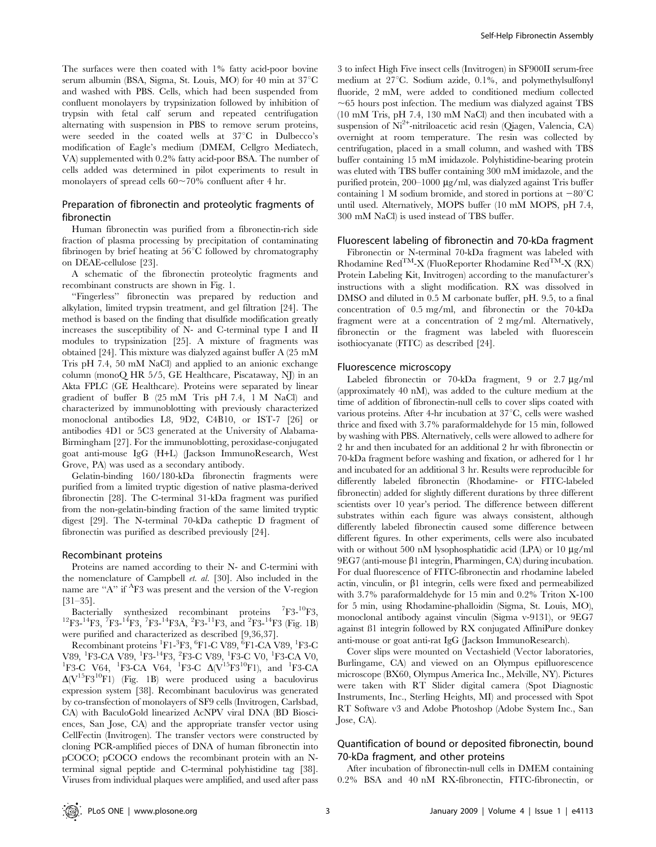The surfaces were then coated with 1% fatty acid-poor bovine serum albumin (BSA, Sigma, St. Louis, MO) for 40 min at  $37^{\circ}$ C and washed with PBS. Cells, which had been suspended from confluent monolayers by trypsinization followed by inhibition of trypsin with fetal calf serum and repeated centrifugation alternating with suspension in PBS to remove serum proteins, were seeded in the coated wells at  $37^{\circ}$ C in Dulbecco's modification of Eagle's medium (DMEM, Cellgro Mediatech, VA) supplemented with 0.2% fatty acid-poor BSA. The number of cells added was determined in pilot experiments to result in monolayers of spread cells 60,70% confluent after 4 hr.

### Preparation of fibronectin and proteolytic fragments of fibronectin

Human fibronectin was purified from a fibronectin-rich side fraction of plasma processing by precipitation of contaminating fibrinogen by brief heating at  $56^{\circ}$ C followed by chromatography on DEAE-cellulose [23].

A schematic of the fibronectin proteolytic fragments and recombinant constructs are shown in Fig. 1.

''Fingerless'' fibronectin was prepared by reduction and alkylation, limited trypsin treatment, and gel filtration [24]. The method is based on the finding that disulfide modification greatly increases the susceptibility of N- and C-terminal type I and II modules to trypsinization [25]. A mixture of fragments was obtained [24]. This mixture was dialyzed against buffer A (25 mM Tris pH 7.4, 50 mM NaCl) and applied to an anionic exchange column (monoQ HR 5/5, GE Healthcare, Piscataway, NJ) in an Akta FPLC (GE Healthcare). Proteins were separated by linear gradient of buffer B (25 mM Tris pH 7.4, 1 M NaCl) and characterized by immunoblotting with previously characterized monoclonal antibodies L8, 9D2, C4B10, or IST-7 [26] or antibodies 4D1 or 5C3 generated at the University of Alabama-Birmingham [27]. For the immunoblotting, peroxidase-conjugated goat anti-mouse IgG (H+L) (Jackson ImmunoResearch, West Grove, PA) was used as a secondary antibody.

Gelatin-binding 160/180-kDa fibronectin fragments were purified from a limited tryptic digestion of native plasma-derived fibronectin [28]. The C-terminal 31-kDa fragment was purified from the non-gelatin-binding fraction of the same limited tryptic digest [29]. The N-terminal 70-kDa catheptic D fragment of fibronectin was purified as described previously [24].

#### Recombinant proteins

Proteins are named according to their N- and C-termini with the nomenclature of Campbell et. al. [30]. Also included in the name are "A" if <sup>A</sup>F3 was present and the version of the V-region [31–35].

Bacterially synthesized recombinant proteins <sup>7</sup>F3-<sup>10</sup>F3, Bacterially synthesized recombinant proteins  ${}^{7}F3-{}^{10}F3$ ,  ${}^{12}F3-{}^{14}F3$ ,  ${}^{7}F3-{}^{14}F3$ ,  ${}^{7}F3-{}^{14}F3$ ,  ${}^{2}F3-{}^{11}F3$ , and  ${}^{2}F3-{}^{14}F3$  (Fig. 1B) were purified and characterized as described [9,36,37].

Recombinant proteins  ${}^{1}\text{F1-}{}^{3}\text{F3}, {}^{6}\text{F1-C}$  V89,  ${}^{6}\text{F1-CA}$  V89,  ${}^{1}\text{F3-C}$ V89, <sup>1</sup>F3-CA V89, <sup>1</sup>F3-<sup>14</sup>F3, <sup>2</sup>F3-C V89, <sup>1</sup>F3-C V0, <sup>1</sup>F3-CA V0, <sup>1</sup>F3-CA V0, <sup>1</sup>F3-CA V0, <sup>1</sup>F3-CA V6, <sup>1</sup>F3-CA V6, <sup>1</sup>F3-CA V6, <sup>1</sup>F3-CA V6, <sup>1</sup>F3-CA V6, <sup>1</sup>F3-CA V6, <sup>1</sup>F3-CA V6, <sup>1</sup>F3-CA V6, <sup>1</sup>F3-CA V6, <sup>1</sup>F3-CA F3-C V64, <sup>1</sup>F3-CA V64, <sup>1</sup>F3-C  $\Delta (V^{15}F3^{10}F1)$ , and <sup>1</sup>F3-CA  $\Delta(V^{15}F3^{10}F1)$  (Fig. 1B) were produced using a baculovirus expression system [38]. Recombinant baculovirus was generated by co-transfection of monolayers of SF9 cells (Invitrogen, Carlsbad, CA) with BaculoGold linearized AcNPV viral DNA (BD Biosciences, San Jose, CA) and the appropriate transfer vector using CellFectin (Invitrogen). The transfer vectors were constructed by cloning PCR-amplified pieces of DNA of human fibronectin into pCOCO; pCOCO endows the recombinant protein with an Nterminal signal peptide and C-terminal polyhistidine tag [38]. Viruses from individual plaques were amplified, and used after pass

3 to infect High Five insect cells (Invitrogen) in SF900II serum-free medium at  $27^{\circ}$ C. Sodium azide, 0.1%, and polymethylsulfonyl fluoride, 2 mM, were added to conditioned medium collected  $\sim$  65 hours post infection. The medium was dialyzed against TBS (10 mM Tris, pH 7.4, 130 mM NaCl) and then incubated with a suspension of Ni<sup>2+</sup>-nitriloacetic acid resin (Qiagen, Valencia, CA) overnight at room temperature. The resin was collected by centrifugation, placed in a small column, and washed with TBS buffer containing 15 mM imidazole. Polyhistidine-bearing protein was eluted with TBS buffer containing 300 mM imidazole, and the purified protein,  $200-1000 \mu$ g/ml, was dialyzed against Tris buffer containing 1 M sodium bromide, and stored in portions at  $-80^{\circ}$ C until used. Alternatively, MOPS buffer (10 mM MOPS, pH 7.4, 300 mM NaCl) is used instead of TBS buffer.

#### Fluorescent labeling of fibronectin and 70-kDa fragment

Fibronectin or N-terminal 70-kDa fragment was labeled with Rhodamine  $\text{Red}^{\text{TM}}$ -X (FluoReporter Rhodamine  $\text{Red}^{\text{TM}}$ -X (RX) Protein Labeling Kit, Invitrogen) according to the manufacturer's instructions with a slight modification. RX was dissolved in DMSO and diluted in 0.5 M carbonate buffer, pH. 9.5, to a final concentration of 0.5 mg/ml, and fibronectin or the 70-kDa fragment were at a concentration of 2 mg/ml. Alternatively, fibronectin or the fragment was labeled with fluorescein isothiocyanate (FITC) as described [24].

#### Fluorescence microscopy

Labeled fibronectin or 70-kDa fragment,  $9$  or  $2.7 \mu g/ml$ (approximately 40 nM), was added to the culture medium at the time of addition of fibronectin-null cells to cover slips coated with various proteins. After 4-hr incubation at  $37^{\circ}$ C, cells were washed thrice and fixed with 3.7% paraformaldehyde for 15 min, followed by washing with PBS. Alternatively, cells were allowed to adhere for 2 hr and then incubated for an additional 2 hr with fibronectin or 70-kDa fragment before washing and fixation, or adhered for 1 hr and incubated for an additional 3 hr. Results were reproducible for differently labeled fibronectin (Rhodamine- or FITC-labeled fibronectin) added for slightly different durations by three different scientists over 10 year's period. The difference between different substrates within each figure was always consistent, although differently labeled fibronectin caused some difference between different figures. In other experiments, cells were also incubated with or without 500 nM lysophosphatidic acid (LPA) or 10  $\mu$ g/ml  $9EG7$  (anti-mouse  $\beta1$  integrin, Pharmingen, CA) during incubation. For dual fluorescence of FITC-fibronectin and rhodamine labeled actin, vinculin, or  $\beta$ 1 integrin, cells were fixed and permeabilized with 3.7% paraformaldehyde for 15 min and 0.2% Triton X-100 for 5 min, using Rhodamine-phalloidin (Sigma, St. Louis, MO), monoclonal antibody against vinculin (Sigma v-9131), or 9EG7 against ß1 integrin followed by RX conjugated AffiniPure donkey anti-mouse or goat anti-rat IgG (Jackson ImmunoResearch).

Cover slips were mounted on Vectashield (Vector laboratories, Burlingame, CA) and viewed on an Olympus epifluorescence microscope (BX60, Olympus America Inc., Melville, NY). Pictures were taken with RT Slider digital camera (Spot Diagnostic Instruments, Inc., Sterling Heights, MI) and processed with Spot RT Software v3 and Adobe Photoshop (Adobe System Inc., San Jose, CA).

## Quantification of bound or deposited fibronectin, bound 70-kDa fragment, and other proteins

After incubation of fibronectin-null cells in DMEM containing 0.2% BSA and 40 nM RX-fibronectin, FITC-fibronectin, or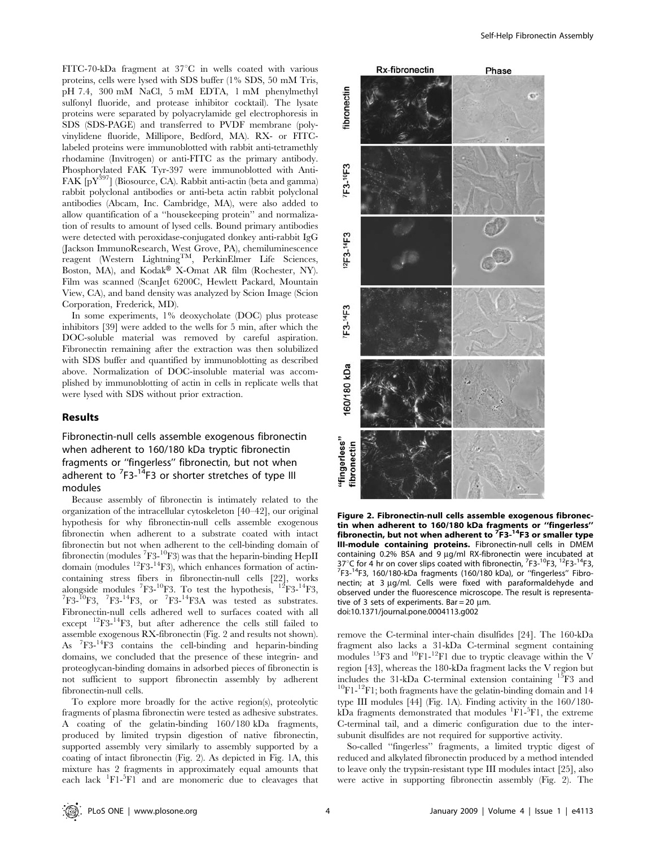FITC-70-kDa fragment at  $37^{\circ}$ C in wells coated with various proteins, cells were lysed with SDS buffer (1% SDS, 50 mM Tris, pH 7.4, 300 mM NaCl, 5 mM EDTA, 1 mM phenylmethyl sulfonyl fluoride, and protease inhibitor cocktail). The lysate proteins were separated by polyacrylamide gel electrophoresis in SDS (SDS-PAGE) and transferred to PVDF membrane (polyvinylidene fluoride, Millipore, Bedford, MA). RX- or FITClabeled proteins were immunoblotted with rabbit anti-tetramethly rhodamine (Invitrogen) or anti-FITC as the primary antibody. Phosphorylated FAK Tyr-397 were immunoblotted with Anti-FAK  $[pY^{397}]$  (Biosource, CA). Rabbit anti-actin (beta and gamma) rabbit polyclonal antibodies or anti-beta actin rabbit polyclonal antibodies (Abcam, Inc. Cambridge, MA), were also added to allow quantification of a ''housekeeping protein'' and normalization of results to amount of lysed cells. Bound primary antibodies were detected with peroxidase-conjugated donkey anti-rabbit IgG (Jackson ImmunoResearch, West Grove, PA), chemiluminescence reagent (Western Lightning<sup>TM</sup>, PerkinElmer Life Sciences, Boston, MA), and Kodak<sup>®</sup> X-Omat AR film (Rochester, NY). Film was scanned (ScanJet 6200C, Hewlett Packard, Mountain View, CA), and band density was analyzed by Scion Image (Scion Corporation, Frederick, MD).

In some experiments, 1% deoxycholate (DOC) plus protease inhibitors [39] were added to the wells for 5 min, after which the DOC-soluble material was removed by careful aspiration. Fibronectin remaining after the extraction was then solubilized with SDS buffer and quantified by immunoblotting as described above. Normalization of DOC-insoluble material was accomplished by immunoblotting of actin in cells in replicate wells that were lysed with SDS without prior extraction.

#### Results

Fibronectin-null cells assemble exogenous fibronectin when adherent to 160/180 kDa tryptic fibronectin fragments or ''fingerless'' fibronectin, but not when adherent to <sup>7</sup>F3-<sup>14</sup>F3 or shorter stretches of type III modules

Because assembly of fibronectin is intimately related to the organization of the intracellular cytoskeleton [40–42], our original hypothesis for why fibronectin-null cells assemble exogenous fibronectin when adherent to a substrate coated with intact fibronectin but not when adherent to the cell-binding domain of fibronectin (modules  ${}^{7}F3-{}^{10}F3$ ) was that the heparin-binding HepII domain (modules  ${}^{12}F3-{}^{14}F3$ ), which enhances formation of actincontaining stress fibers in fibronectin-null cells [22], works alongside modules  ${}^{7}F3^{-10}F3$ . To test the hypothesis,  ${}^{12}F3^{-14}F3$ ,  ${}^{7}F2~^{14}F3$ ,  ${}^{7}F3~^{14}F3$ ,  ${}^{7}F3~^{14}F3$ ,  ${}^{7}F3~^{14}F3$ ,  ${}^{7}F3~^{14}F3$ ,  ${}^{7}F3~^{14}F3$ ,  ${}^{7}F3~^{14}F3$ ,  ${}^{7}F3~^{14}F3$ ,  ${}^{7}F3~^{1$  $F3-^{10}F3$ ,  $^{7}F3-^{14}F3$ , or  $^{7}F3-^{14}F3A$  was tested as substrates. Fibronectin-null cells adhered well to surfaces coated with all except  $^{12}F3$ - $^{14}F3$ , but after adherence the cells still failed to assemble exogenous RX-fibronectin (Fig. 2 and results not shown). As <sup>7</sup> F3-14F3 contains the cell-binding and heparin-binding domains, we concluded that the presence of these integrin- and proteoglycan-binding domains in adsorbed pieces of fibronectin is not sufficient to support fibronectin assembly by adherent fibronectin-null cells.

To explore more broadly for the active region(s), proteolytic fragments of plasma fibronectin were tested as adhesive substrates. A coating of the gelatin-binding 160/180 kDa fragments, produced by limited trypsin digestion of native fibronectin, supported assembly very similarly to assembly supported by a coating of intact fibronectin (Fig. 2). As depicted in Fig. 1A, this mixture has 2 fragments in approximately equal amounts that each lack <sup>1</sup>F1-<sup>5</sup>F1 and are monomeric due to cleavages that



Figure 2. Fibronectin-null cells assemble exogenous fibronectin when adherent to 160/180 kDa fragments or ''fingerless'' fibronectin, but not when adherent to <sup>7</sup>F3-<sup>14</sup>F3 or smaller type III-module containing proteins. Fibronectin-null cells in DMEM containing 0.2% BSA and 9 µg/ml RX-fibronectin were incubated at  $37^{\circ}$ C for 4 hr on cover slips coated with fibronectin,  $753^{10}F3$ ,  $12F3^{14}F3$ ,  $753^{14}F3$ ,  $753^{14}F3$ ,  $753^{14}F3$ ,  $753^{14}F3$ ,  $753^{14}F3$ ,  $753^{14}F3$ ,  $753^{14}F3$ ,  $753^{14}F3$ ,  $753^{14}F3$ ,  $753^{14}F3$ ,  $753^{$  $7$ F3- $14$ F3, 160/180-kDa fragments (160/180 kDa), or "fingerless" Fibronectin; at 3  $\mu$ g/ml. Cells were fixed with paraformaldehyde and observed under the fluorescence microscope. The result is representative of 3 sets of experiments. Bar =  $20 \text{ um}$ . doi:10.1371/journal.pone.0004113.g002

remove the C-terminal inter-chain disulfides [24]. The 160-kDa fragment also lacks a 31-kDa C-terminal segment containing modules <sup>15</sup>F3 and <sup>10</sup>F1-<sup>12</sup>F1 due to tryptic cleavage within the V region [43], whereas the 180-kDa fragment lacks the V region but<br>includes the 31-kDa C-terminal extension containing  $^{15}F3$  and  $^{10}$ F1- $^{12}$ F1; both fragments have the gelatin-binding domain and 14 type III modules [44] (Fig. 1A). Finding activity in the 160/180  $k\overrightarrow{D}$  a fragments demonstrated that modules <sup>1</sup>F1-<sup>5</sup>F1, the extreme C-terminal tail, and a dimeric configuration due to the intersubunit disulfides are not required for supportive activity.

So-called ''fingerless'' fragments, a limited tryptic digest of reduced and alkylated fibronectin produced by a method intended to leave only the trypsin-resistant type III modules intact [25], also were active in supporting fibronectin assembly (Fig. 2). The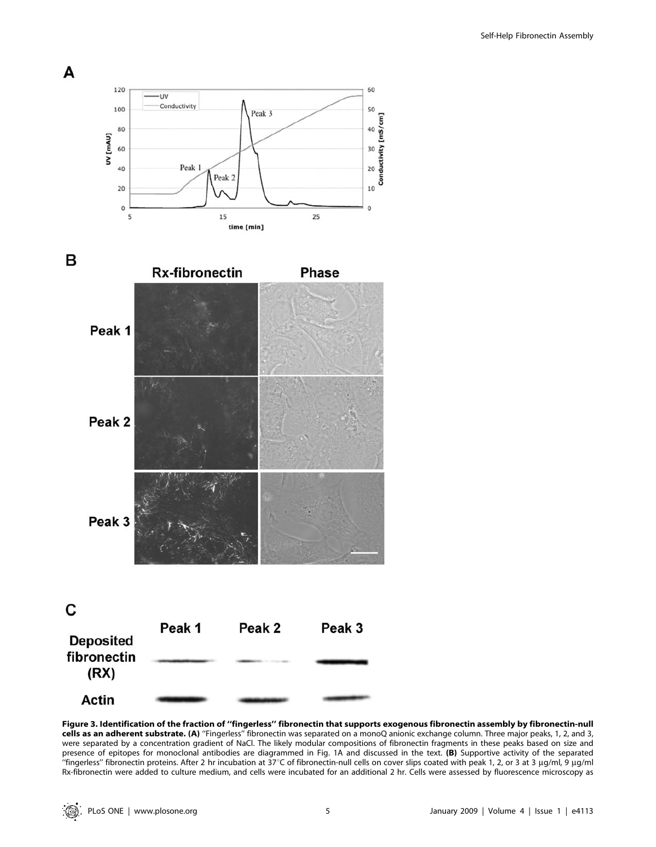

Figure 3. Identification of the fraction of ''fingerless'' fibronectin that supports exogenous fibronectin assembly by fibronectin-null cells as an adherent substrate. (A) ''Fingerless'' fibronectin was separated on a monoQ anionic exchange column. Three major peaks, 1, 2, and 3, were separated by a concentration gradient of NaCl. The likely modular compositions of fibronectin fragments in these peaks based on size and presence of epitopes for monoclonal antibodies are diagrammed in Fig. 1A and discussed in the text. (B) Supportive activity of the separated "fingerless" fibronectin proteins. After 2 hr incubation at 37°C of fibronectin-null cells on cover slips coated with peak 1, 2, or 3 at 3  $\mu$ g/ml, 9  $\mu$ g/ml Rx-fibronectin were added to culture medium, and cells were incubated for an additional 2 hr. Cells were assessed by fluorescence microscopy as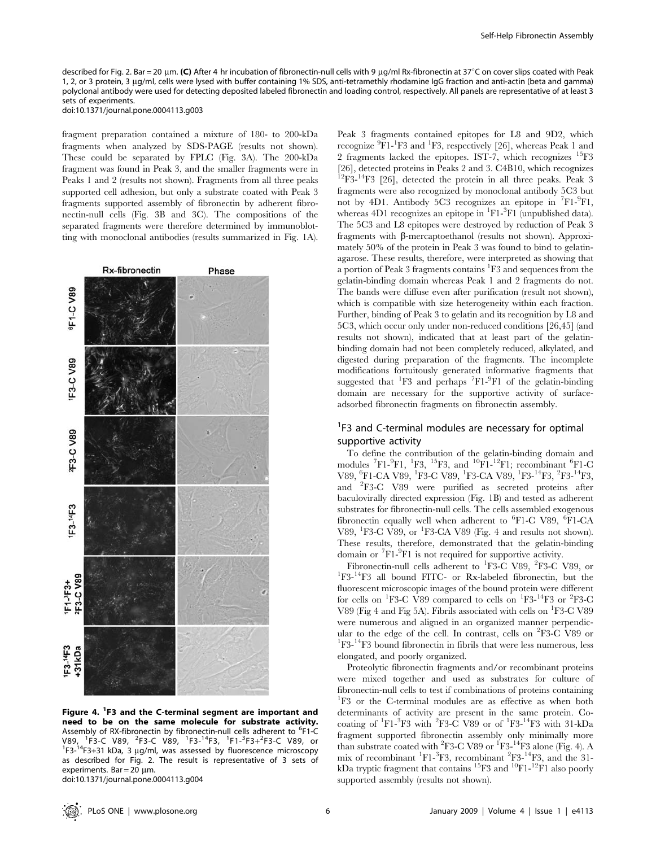described for Fig. 2. Bar = 20 µm. (C) After 4 hr incubation of fibronectin-null cells with 9 µg/ml Rx-fibronectin at 37°C on cover slips coated with Peak 1, 2, or 3 protein, 3 µg/ml, cells were lysed with buffer containing 1% SDS, anti-tetramethly rhodamine IgG fraction and anti-actin (beta and gamma) polyclonal antibody were used for detecting deposited labeled fibronectin and loading control, respectively. All panels are representative of at least 3 sets of experiments. doi:10.1371/journal.pone.0004113.g003

fragment preparation contained a mixture of 180- to 200-kDa fragments when analyzed by SDS-PAGE (results not shown). These could be separated by FPLC (Fig. 3A). The 200-kDa fragment was found in Peak 3, and the smaller fragments were in Peaks 1 and 2 (results not shown). Fragments from all three peaks supported cell adhesion, but only a substrate coated with Peak 3 fragments supported assembly of fibronectin by adherent fibronectin-null cells (Fig. 3B and 3C). The compositions of the separated fragments were therefore determined by immunoblotting with monoclonal antibodies (results summarized in Fig. 1A).



Figure 4. <sup>1</sup>F3 and the C-terminal segment are important and need to be on the same molecule for substrate activity. Assembly of RX-fibronectin by fibronectin-null cells adherent to <sup>6</sup>F1-C V89,  ${}^{1}F3-C$  V89,  ${}^{2}F3-C$  V89,  ${}^{1}F3-{}^{14}F3$ ,  ${}^{1}F1-{}^{3}F3+{}^{2}F3-C$  V89, or  ${}^{15}F3-{}^{14}F3+{}^{2}F3-C$  V89, or  ${}^{1}F3-{}^{14}F3+31$  kDa, 3 µg/ml, was assessed by fluorescence microscopy as described for Fig. 2. The result is representative of 3 sets of experiments. Bar = 20  $\mu$ m. doi:10.1371/journal.pone.0004113.g004

Peak 3 fragments contained epitopes for L8 and 9D2, which recognize <sup>9</sup>F1-<sup>1</sup>F3 and <sup>1</sup>F3, respectively [26], whereas Peak 1 and 2 fragments lacked the epitopes. IST-7, which recognizes 15F3 [26], detected proteins in Peaks 2 and 3. C4B10, which recognizes  $^{12}F3^{-14}F3$  [26], detected the protein in all three peaks. Peak 3 fragments were also recognized by monoclonal antibody 5C3 but not by 4D1. Antibody 5C3 recognizes an epitope in <sup>7</sup>F1-<sup>9</sup>F1, whereas 4D1 recognizes an epitope in <sup>1</sup>F1-<sup>3</sup>F1 (unpublished data). The 5C3 and L8 epitopes were destroyed by reduction of Peak 3 fragments with  $\beta$ -mercaptoethanol (results not shown). Approximately 50% of the protein in Peak 3 was found to bind to gelatinagarose. These results, therefore, were interpreted as showing that a portion of Peak 3 fragments contains <sup>1</sup>F3 and sequences from the gelatin-binding domain whereas Peak 1 and 2 fragments do not. The bands were diffuse even after purification (result not shown), which is compatible with size heterogeneity within each fraction. Further, binding of Peak 3 to gelatin and its recognition by L8 and 5C3, which occur only under non-reduced conditions [26,45] (and results not shown), indicated that at least part of the gelatinbinding domain had not been completely reduced, alkylated, and digested during preparation of the fragments. The incomplete modifications fortuitously generated informative fragments that suggested that <sup>1</sup>F3 and perhaps <sup>7</sup>F1-<sup>9</sup>F1 of the gelatin-binding domain are necessary for the supportive activity of surfaceadsorbed fibronectin fragments on fibronectin assembly.

# <sup>1</sup>F3 and C-terminal modules are necessary for optimal supportive activity

To define the contribution of the gelatin-binding domain and modules <sup>7</sup>F1-<sup>9</sup>F1, <sup>1</sup>F3, <sup>15</sup>F3, and <sup>10</sup>F1-<sup>12</sup>F1; recombinant <sup>6</sup>F1-C V89, <sup>6</sup>F1-CA V89, <sup>1</sup>F3-C V89, <sup>1</sup>F3-CA V89, <sup>1</sup>F3-<sup>14</sup>F3, <sup>2</sup>F3-<sup>14</sup>F3, and <sup>2</sup> F3-C V89 were purified as secreted proteins after baculovirally directed expression (Fig. 1B) and tested as adherent substrates for fibronectin-null cells. The cells assembled exogenous fibronectin equally well when adherent to <sup>6</sup>F1-C V89, <sup>6</sup>F1-CA V89, <sup>1</sup>F3-C V89, or <sup>1</sup>F3-CA V89 (Fig. 4 and results not shown). These results, therefore, demonstrated that the gelatin-binding domain or <sup>7</sup>F1-<sup>9</sup>F1 is not required for supportive activity.

Fibronectin-null cells adherent to <sup>1</sup>F3-C V89, <sup>2</sup>F3-C V89, or  $R_{\rm y}$ -labeled fibronectin, but the F3-14F3 all bound FITC- or Rx-labeled fibronectin, but the fluorescent microscopic images of the bound protein were different for cells on <sup>1</sup>F3-C V89 compared to cells on <sup>1</sup>F3-<sup>14</sup>F3 or <sup>2</sup>F3-C V89 (Fig 4 and Fig 5A). Fibrils associated with cells on <sup>1</sup>F3-C V89 were numerous and aligned in an organized manner perpendicular to the edge of the cell. In contrast, cells on  ${}^{2}F3-C$  V89 or  ${}^{1}F3$ -L<sup>1</sup> $F3$  bound fibronectin in fibrils that were less numerous less <sup>1</sup>F3-<sup>14</sup>F3 bound fibronectin in fibrils that were less numerous, less elongated, and poorly organized.

Proteolytic fibronectin fragments and/or recombinant proteins were mixed together and used as substrates for culture of fibronectin-null cells to test if combinations of proteins containing <sup>1</sup>F3 or the C-terminal modules are as effective as when both determinants of activity are present in the same protein. Cocoating of  ${}^{1}F1-{}^{3}F3$  with  ${}^{2}F3-{}^{1}C$  V89 or of  ${}^{1}F3-{}^{14}F3$  with 31-kDa fragment supported fibronectin assembly only minimally more than substrate coated with  ${}^{2}F3-C$  V89 or  ${}^{1}F3-{}^{14}F3$  alone (Fig. 4). A mix of recombinant <sup>1</sup>F1-<sup>3</sup>F3, recombinant <sup>2</sup>F3-<sup>14</sup>F3, and the 31kDa tryptic fragment that contains  ${}^{15}F3$  and  ${}^{10}F1-{}^{12}F1$  also poorly supported assembly (results not shown).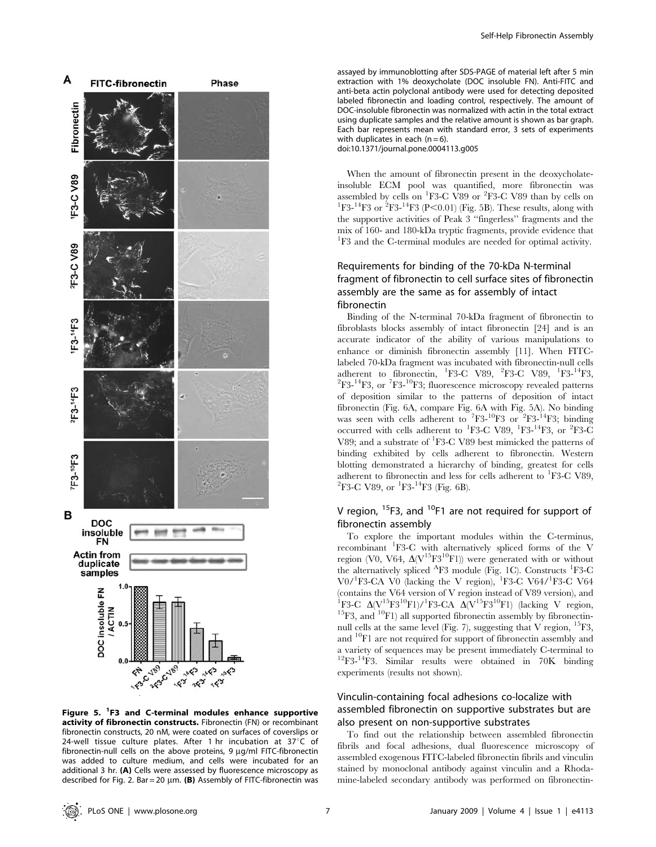

Figure 5. <sup>1</sup>F3 and C-terminal modules enhance supportive activity of fibronectin constructs. Fibronectin (FN) or recombinant fibronectin constructs, 20 nM, were coated on surfaces of coverslips or 24-well tissue culture plates. After 1 hr incubation at 37 $\degree$ C of fibronectin-null cells on the above proteins,  $9 \mu q/ml$  FITC-fibronectin was added to culture medium, and cells were incubated for an additional 3 hr. (A) Cells were assessed by fluorescence microscopy as described for Fig. 2. Bar = 20  $\mu$ m. (B) Assembly of FITC-fibronectin was

assayed by immunoblotting after SDS-PAGE of material left after 5 min extraction with 1% deoxycholate (DOC insoluble FN). Anti-FITC and anti-beta actin polyclonal antibody were used for detecting deposited labeled fibronectin and loading control, respectively. The amount of DOC-insoluble fibronectin was normalized with actin in the total extract using duplicate samples and the relative amount is shown as bar graph. Each bar represents mean with standard error, 3 sets of experiments with duplicates in each  $(n = 6)$ . doi:10.1371/journal.pone.0004113.g005

When the amount of fibronectin present in the deoxycholateinsoluble ECM pool was quantified, more fibronectin was assembled by cells on <sup>1</sup>F3-C V89 or <sup>2</sup>F3-C V89 than by cells on  $^{1}_{153}$ -1<sup>4</sup>F3 or <sup>2</sup>F3-<sup>14</sup>F3 (P<0.01) (Fig. 5B). These results along with F3-<sup>14</sup>F3 or <sup>2</sup>F3-<sup>14</sup>F3 (P<0.01) (Fig. 5B). These results, along with the supportive activities of Peak 3 ''fingerless'' fragments and the mix of 160- and 180-kDa tryptic fragments, provide evidence that <sup>1</sup>F3 and the C-terminal modules are needed for optimal activity.

## Requirements for binding of the 70-kDa N-terminal fragment of fibronectin to cell surface sites of fibronectin assembly are the same as for assembly of intact fibronectin

Binding of the N-terminal 70-kDa fragment of fibronectin to fibroblasts blocks assembly of intact fibronectin [24] and is an accurate indicator of the ability of various manipulations to enhance or diminish fibronectin assembly [11]. When FITClabeled 70-kDa fragment was incubated with fibronectin-null cells adherent to fibronectin, <sup>1</sup>F3-C V89, <sup>2</sup>F3-C V89, <sup>1</sup>F3-<sup>14</sup>F3,<br><sup>2</sup>F3<sup>-14</sup>F3,  $\alpha$ <sup>7</sup>F3<sup>-10</sup>F3: fluorescense misrosceny revealed patterns F3-<sup>14</sup>F3, or <sup>7</sup>F3-<sup>10</sup>F3; fluorescence microscopy revealed patterns of deposition similar to the patterns of deposition of intact fibronectin (Fig. 6A, compare Fig. 6A with Fig. 5A). No binding was seen with cells adherent to  $7F3^{-10}F3$  or  $2F3^{-14}F3$ ; binding occurred with cells adherent to <sup>1</sup>F3-C V89, <sup>1</sup>F3-<sup>14</sup>F3, or <sup>2</sup>F3-C V89; and a substrate of <sup>1</sup>F3-C V89 best mimicked the patterns of binding exhibited by cells adherent to fibronectin. Western blotting demonstrated a hierarchy of binding, greatest for cells adherent to fibronectin and less for cells adherent to <sup>1</sup>F3-C V89,<br><sup>2</sup>F3-C V89,  $\alpha$ <sup>1</sup>F3-<sup>14</sup>F3 (Fig. 6B) F3-C V89, or  ${}^{1}$ F3- ${}^{14}$ F3 (Fig. 6B).

# V region,  $^{15}F3$ , and  $^{10}F1$  are not required for support of fibronectin assembly

To explore the important modules within the C-terminus, recombinant <sup>1</sup>F3-C with alternatively spliced forms of the V region (V0, V64,  $\Delta$ (V<sup>15</sup>F3<sup>10</sup>F1)) were generated with or without the alternatively spliced <sup>A</sup>F3 module (Fig. 1C). Constructs <sup>1</sup>F3-C V0/<sup>1</sup>F3-CA V0 (lacking the V region), <sup>1</sup>F3-C V64/<sup>1</sup>F3-C V64 (contains the V64 version of V region instead of V89 version), and <sup>1</sup>F3-C  $\Delta (V^{15}F3^{10}F1)/$ <sup>1</sup>F3-CA  $\Delta (V^{15}F3^{10}F1)$  (lacking V region, <sup>15</sup>F3, and <sup>10</sup>F1) all supported fibronectin assembly by fibronectinnull cells at the same level (Fig. 7), suggesting that V region,  ${}^{15}F3$ , and 10F1 are not required for support of fibronectin assembly and a variety of sequences may be present immediately C-terminal to 12F3-14F3. Similar results were obtained in 70K binding experiments (results not shown).

## Vinculin-containing focal adhesions co-localize with assembled fibronectin on supportive substrates but are also present on non-supportive substrates

To find out the relationship between assembled fibronectin fibrils and focal adhesions, dual fluorescence microscopy of assembled exogenous FITC-labeled fibronectin fibrils and vinculin stained by monoclonal antibody against vinculin and a Rhodamine-labeled secondary antibody was performed on fibronectin-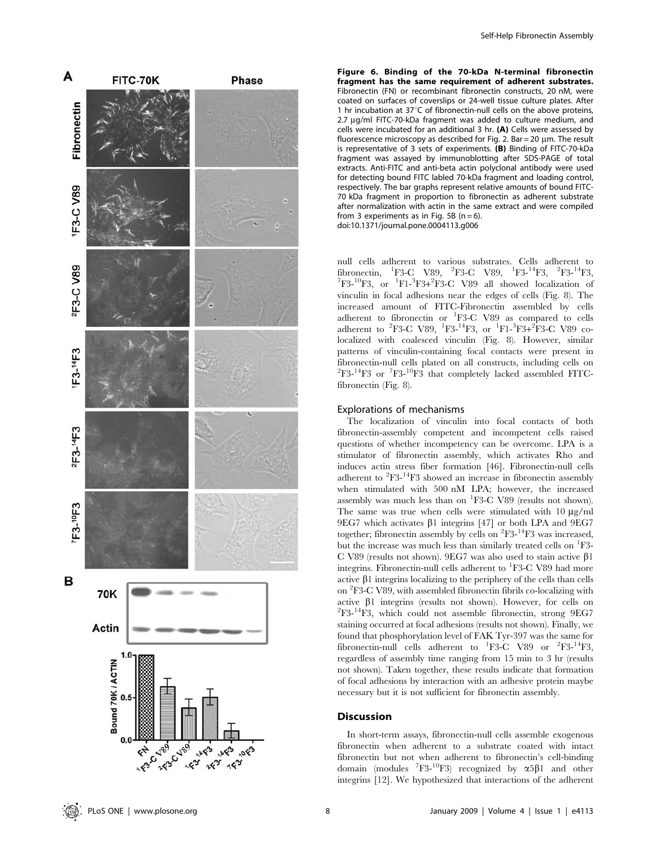

Figure 6. Binding of the 70-kDa N-terminal fibronectin fragment has the same requirement of adherent substrates. Fibronectin (FN) or recombinant fibronectin constructs, 20 nM, were coated on surfaces of coverslips or 24-well tissue culture plates. After 1 hr incubation at 37 $\degree$ C of fibronectin-null cells on the above proteins, 2.7 µg/ml FITC-70-kDa fragment was added to culture medium, and cells were incubated for an additional 3 hr. (A) Cells were assessed by fluorescence microscopy as described for Fig. 2. Bar = 20  $\mu$ m. The result is representative of 3 sets of experiments. (B) Binding of FITC-70-kDa fragment was assayed by immunoblotting after SDS-PAGE of total extracts. Anti-FITC and anti-beta actin polyclonal antibody were used for detecting bound FITC labled 70-kDa fragment and loading control, respectively. The bar graphs represent relative amounts of bound FITC-70 kDa fragment in proportion to fibronectin as adherent substrate after normalization with actin in the same extract and were compiled from 3 experiments as in Fig. 5B ( $n = 6$ ). doi:10.1371/journal.pone.0004113.g006

null cells adherent to various substrates. Cells adherent to fibronectin, <sup>1</sup>F3-C V89, <sup>2</sup>F3-C V89, <sup>1</sup>F3-<sup>14</sup>F3, <sup>2</sup>F3-<sup>14</sup>F3,<br><sup>7</sup>F3-<sup>10</sup>F3, or <sup>1</sup>F1-<sup>3</sup>F3-2<sup>P</sup>F3-C V89, all showed localization of F3- $^{10}$ F3, or  $^{1}$ F1- $^{3}$ F3+ $^{2}$ F3-C V89 all showed localization of vinculin in focal adhesions near the edges of cells (Fig. 8). The increased amount of FITC-Fibronectin assembled by cells adherent to fibronectin or <sup>1</sup>F3-C V89 as compared to cells adherent to <sup>2</sup>F3-C V89, <sup>1</sup>F3-<sup>14</sup>F3, or <sup>1</sup>F1-<sup>3</sup>F3+<sup>2</sup>F3-C V89 colocalized with coalesced vinculin (Fig. 8). However, similar patterns of vinculin-containing focal contacts were present in fibronectin-null cells plated on all constructs, including cells on <sup>2</sup>F3-<sup>14</sup>F3 or <sup>7</sup>F3-<sup>10</sup>F3 that completely lacked assembled FITCfibronectin (Fig. 8).

#### Explorations of mechanisms

The localization of vinculin into focal contacts of both fibronectin-assembly competent and incompetent cells raised questions of whether incompetency can be overcome. LPA is a stimulator of fibronectin assembly, which activates Rho and induces actin stress fiber formation [46]. Fibronectin-null cells adherent to  ${}^{2}F3-{}^{14}F3$  showed an increase in fibronectin assembly when stimulated with 500 nM LPA; however, the increased assembly was much less than on <sup>1</sup>F3-C V89 (results not shown). The same was true when cells were stimulated with  $10 \mu g/ml$  $9EG7$  which activates  $\beta$ 1 integrins [47] or both LPA and  $9EG7$ together; fibronectin assembly by cells on <sup>2</sup>F3-<sup>14</sup>F3 was increased, but the increase was much less than similarly treated cells on <sup>1</sup>F3-C V89 (results not shown). 9EG7 was also used to stain active  $\beta$ 1 integrins. Fibronectin-null cells adherent to <sup>1</sup>F3-C V89 had more active  $\beta$ 1 integrins localizing to the periphery of the cells than cells on <sup>2</sup> F3-C V89, with assembled fibronectin fibrils co-localizing with active  $\beta$ 1 integrins (results not shown). However, for cells on  ${}^{2}F3-{}^{14}F3$ , which could not assemble fibronectin, strong 9EG7 staining occurred at focal adhesions (results not shown). Finally, we found that phosphorylation level of FAK Tyr-397 was the same for fibronectin-null cells adherent to  ${}^{1}F3-C$  V89 or  ${}^{2}F3-{}^{14}F3$ , regardless of assembly time ranging from 15 min to 3 hr (results not shown). Taken together, these results indicate that formation of focal adhesions by interaction with an adhesive protein maybe necessary but it is not sufficient for fibronectin assembly.

## **Discussion**

In short-term assays, fibronectin-null cells assemble exogenous fibronectin when adherent to a substrate coated with intact fibronectin but not when adherent to fibronectin's cell-binding domain (modules  ${}^{7}F3-{}^{10}F3$ ) recognized by  $\alpha 5\beta 1$  and other integrins [12]. We hypothesized that interactions of the adherent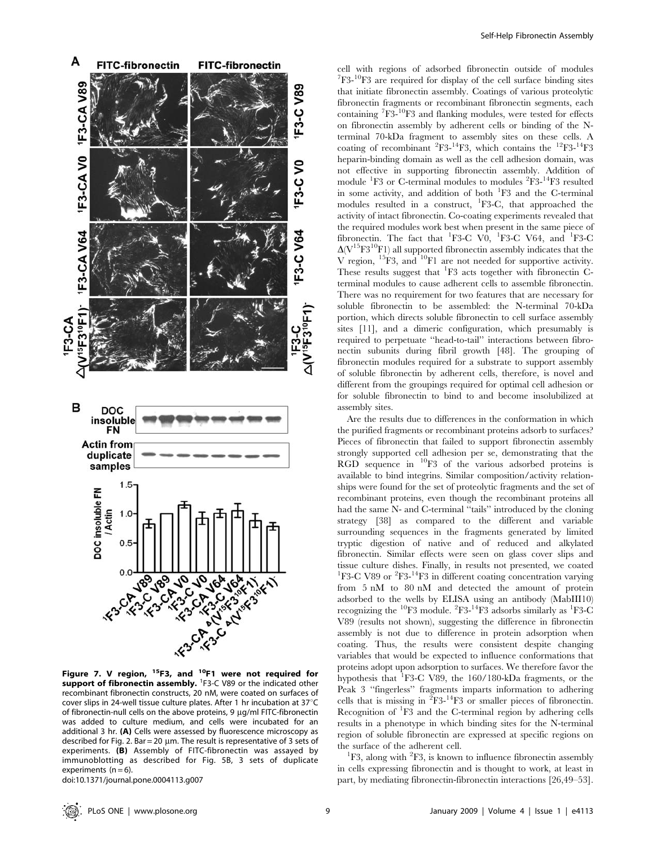

Figure 7. V region,  $15F3$ , and  $10F1$  were not required for support of fibronectin assembly. <sup>1</sup>F3-C V89 or the indicated other recombinant fibronectin constructs, 20 nM, were coated on surfaces of cover slips in 24-well tissue culture plates. After 1 hr incubation at  $37^{\circ}$ C of fibronectin-null cells on the above proteins,  $9 \mu g/ml$  FITC-fibronectin was added to culture medium, and cells were incubated for an additional 3 hr. (A) Cells were assessed by fluorescence microscopy as described for Fig. 2. Bar = 20  $\mu$ m. The result is representative of 3 sets of experiments. (B) Assembly of FITC-fibronectin was assayed by immunoblotting as described for Fig. 5B, 3 sets of duplicate experiments  $(n = 6)$ .

doi:10.1371/journal.pone.0004113.g007

cell with regions of adsorbed fibronectin outside of modules <sup>7</sup>F3-<sup>10</sup>F3 are required for display of the cell surface binding sites that initiate fibronectin assembly. Coatings of various proteolytic fibronectin fragments or recombinant fibronectin segments, each containing <sup>7</sup>F3-<sup>10</sup>F3 and flanking modules, were tested for effects on fibronectin assembly by adherent cells or binding of the Nterminal 70-kDa fragment to assembly sites on these cells. A coating of recombinant <sup>2</sup>F3-<sup>14</sup>F3, which contains the <sup>12</sup>F3-<sup>14</sup>F3 heparin-binding domain as well as the cell adhesion domain, was not effective in supporting fibronectin assembly. Addition of module <sup>1</sup>F3 or C-terminal modules to modules <sup>2</sup>F3-<sup>14</sup>F3 resulted in some activity, and addition of both <sup>1</sup>F3 and the C-terminal modules resulted in a construct, <sup>1</sup>F3-C, that approached the activity of intact fibronectin. Co-coating experiments revealed that the required modules work best when present in the same piece of fibronectin. The fact that <sup>1</sup>F3-C V0, <sup>1</sup>F3-C V64, and <sup>1</sup>F3-C  $\Delta (V^{15}F3^{10}F1)$  all supported fibronectin assembly indicates that the V region,  ${}^{15}F3$ , and  ${}^{10}F1$  are not needed for supportive activity. These results suggest that <sup>1</sup>F3 acts together with fibronectin Cterminal modules to cause adherent cells to assemble fibronectin. There was no requirement for two features that are necessary for soluble fibronectin to be assembled: the N-terminal 70-kDa portion, which directs soluble fibronectin to cell surface assembly sites [11], and a dimeric configuration, which presumably is required to perpetuate ''head-to-tail'' interactions between fibronectin subunits during fibril growth [48]. The grouping of fibronectin modules required for a substrate to support assembly of soluble fibronectin by adherent cells, therefore, is novel and different from the groupings required for optimal cell adhesion or for soluble fibronectin to bind to and become insolubilized at assembly sites.

Are the results due to differences in the conformation in which the purified fragments or recombinant proteins adsorb to surfaces? Pieces of fibronectin that failed to support fibronectin assembly strongly supported cell adhesion per se, demonstrating that the RGD sequence in  $^{10}F3$  of the various adsorbed proteins is available to bind integrins. Similar composition/activity relationships were found for the set of proteolytic fragments and the set of recombinant proteins, even though the recombinant proteins all had the same N- and C-terminal ''tails'' introduced by the cloning strategy [38] as compared to the different and variable surrounding sequences in the fragments generated by limited tryptic digestion of native and of reduced and alkylated fibronectin. Similar effects were seen on glass cover slips and tissue culture dishes. Finally, in results not presented, we coated <sup>1</sup>F3-C V89 or <sup>2</sup>F3-<sup>14</sup>F3 in different coating concentration varying from 5 nM to 80 nM and detected the amount of protein adsorbed to the wells by ELISA using an antibody (MabIII10) recognizing the <sup>10</sup>F3 module. <sup>2</sup>F3-<sup>14</sup>F3 adsorbs similarly as <sup>1</sup>F3-C V89 (results not shown), suggesting the difference in fibronectin assembly is not due to difference in protein adsorption when coating. Thus, the results were consistent despite changing variables that would be expected to influence conformations that proteins adopt upon adsorption to surfaces. We therefore favor the hypothesis that <sup>1</sup>F3-C V89, the 160/180-kDa fragments, or the Peak 3 ''fingerless'' fragments imparts information to adhering cells that is missing in  ${}^{2}F3-{}^{14}F3$  or smaller pieces of fibronectin. Recognition of  ${}^{1}F3$  and the C-terminal region by adhering cells results in a phenotype in which binding sites for the N-terminal region of soluble fibronectin are expressed at specific regions on the surface of the adherent cell.

F3, along with  ${}^{2}F3$ , is known to influence fibronectin assembly in cells expressing fibronectin and is thought to work, at least in part, by mediating fibronectin-fibronectin interactions [26,49–53].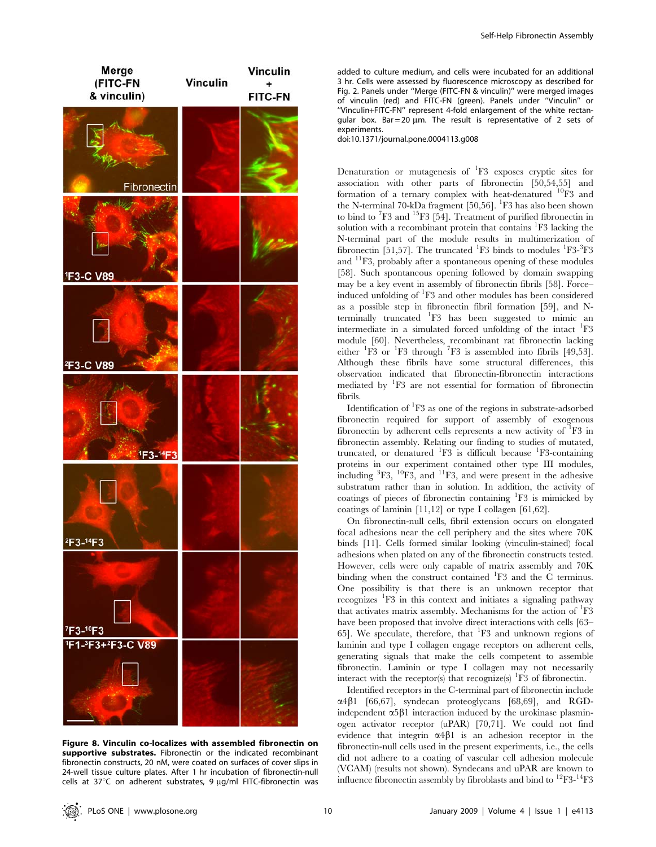

Figure 8. Vinculin co-localizes with assembled fibronectin on supportive substrates. Fibronectin or the indicated recombinant fibronectin constructs, 20 nM, were coated on surfaces of cover slips in 24-well tissue culture plates. After 1 hr incubation of fibronectin-null cells at  $37^{\circ}$ C on adherent substrates, 9  $\mu$ g/ml FITC-fibronectin was

added to culture medium, and cells were incubated for an additional 3 hr. Cells were assessed by fluorescence microscopy as described for Fig. 2. Panels under ''Merge (FITC-FN & vinculin)'' were merged images of vinculin (red) and FITC-FN (green). Panels under ''Vinculin'' or ''Vinculin+FITC-FN'' represent 4-fold enlargement of the white rectangular box. Bar = 20  $\mu$ m. The result is representative of 2 sets of experiments.

doi:10.1371/journal.pone.0004113.g008

Denaturation or mutagenesis of <sup>1</sup>F3 exposes cryptic sites for association with other parts of fibronectin [50,54,55] and formation of a ternary complex with heat-denatured 10F3 and the N-terminal 70-kDa fragment [50,56]. <sup>1</sup>F3 has also been shown to bind to <sup>7</sup>F3 and <sup>15</sup>F3 [54]. Treatment of purified fibronectin in solution with a recombinant protein that contains <sup>1</sup>F3 lacking the N-terminal part of the module results in multimerization of fibronectin [51,57]. The truncated  ${}^{1}F3$  binds to modules  ${}^{1}F3$ - ${}^{3}F3$ and 11F3, probably after a spontaneous opening of these modules [58]. Such spontaneous opening followed by domain swapping may be a key event in assembly of fibronectin fibrils [58]. Force– induced unfolding of <sup>1</sup>F3 and other modules has been considered as a possible step in fibronectin fibril formation [59], and Nterminally truncated <sup>1</sup> F3 has been suggested to mimic an intermediate in a simulated forced unfolding of the intact <sup>1</sup>F3 module [60]. Nevertheless, recombinant rat fibronectin lacking either  ${}^{1}\text{F3}$  or  ${}^{1}\text{F3}$  through  ${}^{7}\text{F3}$  is assembled into fibrils [49,53]. Although these fibrils have some structural differences, this observation indicated that fibronectin-fibronectin interactions mediated by <sup>1</sup>F3 are not essential for formation of fibronectin fibrils.

Identification of <sup>1</sup>F3 as one of the regions in substrate-adsorbed fibronectin required for support of assembly of exogenous fibronectin by adherent cells represents a new activity of <sup>1</sup>F3 in fibronectin assembly. Relating our finding to studies of mutated, truncated, or denatured <sup>1</sup>F3 is difficult because <sup>1</sup>F3-containing proteins in our experiment contained other type III modules, including  ${}^{3}F3, {}^{10}F3,$  and  ${}^{11}F3,$  and were present in the adhesive substratum rather than in solution. In addition, the activity of coatings of pieces of fibronectin containing <sup>1</sup>F3 is mimicked by coatings of laminin [11,12] or type I collagen [61,62].

On fibronectin-null cells, fibril extension occurs on elongated focal adhesions near the cell periphery and the sites where 70K binds [11]. Cells formed similar looking (vinculin-stained) focal adhesions when plated on any of the fibronectin constructs tested. However, cells were only capable of matrix assembly and 70K binding when the construct contained <sup>1</sup>F3 and the C terminus. One possibility is that there is an unknown receptor that recognizes <sup>1</sup>F3 in this context and initiates a signaling pathway that activates matrix assembly. Mechanisms for the action of <sup>1</sup>F3 have been proposed that involve direct interactions with cells [63– 65]. We speculate, therefore, that <sup>1</sup>F3 and unknown regions of laminin and type I collagen engage receptors on adherent cells, generating signals that make the cells competent to assemble fibronectin. Laminin or type I collagen may not necessarily interact with the receptor(s) that recognize(s)  ${}^{1}\text{F3}$  of fibronectin.

Identified receptors in the C-terminal part of fibronectin include  $\alpha$ 4 $\beta$ 1 [66,67], syndecan proteoglycans [68,69], and RGDindependent  $\alpha$ 5 $\beta$ 1 interaction induced by the urokinase plasminogen activator receptor (uPAR) [70,71]. We could not find evidence that integrin  $\alpha$ 4 $\beta$ 1 is an adhesion receptor in the fibronectin-null cells used in the present experiments, i.e., the cells did not adhere to a coating of vascular cell adhesion molecule (VCAM) (results not shown). Syndecans and uPAR are known to influence fibronectin assembly by fibroblasts and bind to  ${}^{12}F3-{}^{14}F3$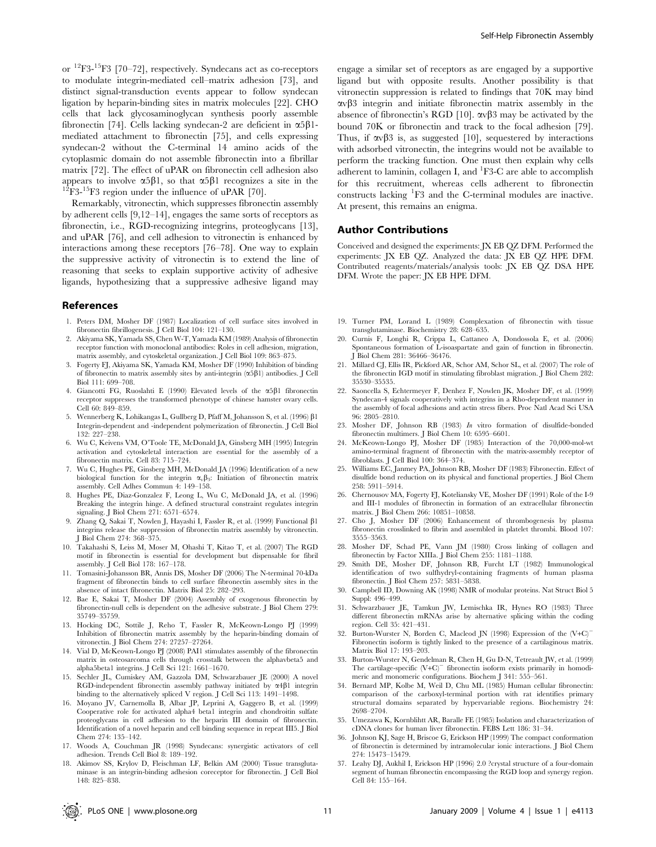or 12F3-15F3 [70–72], respectively. Syndecans act as co-receptors to modulate integrin-mediated cell–matrix adhesion [73], and distinct signal-transduction events appear to follow syndecan ligation by heparin-binding sites in matrix molecules [22]. CHO cells that lack glycosaminoglycan synthesis poorly assemble fibronectin [74]. Cells lacking syndecan-2 are deficient in  $\alpha 5\beta 1$ mediated attachment to fibronectin [75], and cells expressing syndecan-2 without the C-terminal 14 amino acids of the cytoplasmic domain do not assemble fibronectin into a fibrillar matrix [72]. The effect of uPAR on fibronectin cell adhesion also appears to involve  $\alpha 5\beta 1$ , so that  $\alpha 5\beta 1$  recognizes a site in the <sup>12</sup>F3-<sup>15</sup>F3 region under the influence of uPAR [70].

Remarkably, vitronectin, which suppresses fibronectin assembly by adherent cells [9,12–14], engages the same sorts of receptors as fibronectin, i.e., RGD-recognizing integrins, proteoglycans [13], and uPAR [76], and cell adhesion to vitronectin is enhanced by interactions among these receptors [76–78]. One way to explain the suppressive activity of vitronectin is to extend the line of reasoning that seeks to explain supportive activity of adhesive ligands, hypothesizing that a suppressive adhesive ligand may

#### References

- 1. Peters DM, Mosher DF (1987) Localization of cell surface sites involved in fibronectin fibrillogenesis. J Cell Biol 104: 121–130.
- 2. Akiyama SK, Yamada SS, Chen W-T, Yamada KM (1989) Analysis of fibronectin receptor function with monoclonal antibodies: Roles in cell adhesion, migration, matrix assembly, and cytoskeletal organization. J Cell Biol 109: 863–875.
- 3. Fogerty FJ, Akiyama SK, Yamada KM, Mosher DF (1990) Inhibition of binding of fibronectin to matrix assembly sites by anti-integrin  $(\alpha 5\beta 1)$  antibodies. J Cell Biol 111: 699–708.
- 4. Giancotti FG, Ruoslahti E (1990) Elevated levels of the  $\alpha$ 5 $\beta$ 1 fibronectin receptor suppresses the transformed phenotype of chinese hamster ovary cells. Cell 60: 849–859.
- 5. Wennerberg K, Lohikangas L, Gullberg D, Pfaff M, Johansson S, et al. (1996) b1 Integrin-dependent and -independent polymerization of fibronectin. J Cell Biol 132: 227–238.
- 6. Wu C, Keivens VM, O'Toole TE, McDonald JA, Ginsberg MH (1995) Integrin activation and cytoskeletal interaction are essential for the assembly of a fibronectin matrix. Cell 83: 715–724.
- 7. Wu C, Hughes PE, Ginsberg MH, McDonald JA (1996) Identification of a new biological function for the integrin  $\alpha$   $\beta$ <sub>3</sub>: Initiation of fibronectin matrix assembly. Cell Adhes Commun 4: 149–158.
- 8. Hughes PE, Diaz-Gonzalez F, Leong L, Wu C, McDonald JA, et al. (1996) Breaking the integrin hinge. A defined structural constraint regulates integrin signaling. J Biol Chem 271: 6571–6574.
- 9. Zhang Q, Sakai T, Nowlen J, Hayashi I, Fassler R, et al. (1999) Functional  $\beta$ 1 integrins release the suppression of fibronectin matrix assembly by vitronectin. J Biol Chem 274: 368–375.
- 10. Takahashi S, Leiss M, Moser M, Ohashi T, Kitao T, et al. (2007) The RGD motif in fibronectin is essential for development but dispensable for fibril assembly. J Cell Biol 178: 167–178.
- 11. Tomasini-Johansson BR, Annis DS, Mosher DF (2006) The N-terminal 70-kDa fragment of fibronectin binds to cell surface fibronectin assembly sites in the absence of intact fibronectin. Matrix Biol 25: 282–293.
- 12. Bae E, Sakai T, Mosher DF (2004) Assembly of exogenous fibronectin by fibronectin-null cells is dependent on the adhesive substrate. J Biol Chem 279: 35749–35759.
- 13. Hocking DC, Sottile J, Reho T, Fassler R, McKeown-Longo PJ (1999) Inhibition of fibronectin matrix assembly by the heparin-binding domain of vitronectin. J Biol Chem 274: 27257–27264.
- 14. Vial D, McKeown-Longo PJ (2008) PAI1 stimulates assembly of the fibronectin matrix in osteosarcoma cells through crosstalk between the alphavbeta5 and alpha5beta1 integrins. J Cell Sci 121: 1661–1670.
- 15. Sechler JL, Cumiskey AM, Gazzola DM, Schwarzbauer JE (2000) A novel RGD-independent fibronectin assembly pathway initiated by  $\alpha$ 4 $\beta$ 1 integrin binding to the alternatively spliced V region. J Cell Sci 113: 1491–1498.
- 16. Moyano JV, Carnemolla B, Albar JP, Leprini A, Gaggero B, et al. (1999) Cooperative role for activated alpha4 beta1 integrin and chondroitin sulfate proteoglycans in cell adhesion to the heparin III domain of fibronectin. Identification of a novel heparin and cell binding sequence in repeat III5. J Biol Chem 274: 135–142.
- 17. Woods A, Couchman JR (1998) Syndecans: synergistic activators of cell adhesion. Trends Cell Biol 8: 189–192.
- 18. Akimov SS, Krylov D, Fleischman LF, Belkin AM (2000) Tissue transglutaminase is an integrin-binding adhesion coreceptor for fibronectin. J Cell Biol 148: 825–838.

engage a similar set of receptors as are engaged by a supportive ligand but with opposite results. Another possibility is that vitronectin suppression is related to findings that 70K may bind  $\alpha v\beta3$  integrin and initiate fibronectin matrix assembly in the absence of fibronectin's RGD [10].  $\alpha v \beta$ 3 may be activated by the bound 70K or fibronectin and track to the focal adhesion [79]. Thus, if  $\alpha \beta 3$  is, as suggested [10], sequestered by interactions with adsorbed vitronectin, the integrins would not be available to perform the tracking function. One must then explain why cells adherent to laminin, collagen I, and <sup>1</sup>F3-C are able to accomplish for this recruitment, whereas cells adherent to fibronectin constructs lacking <sup>1</sup> F3 and the C-terminal modules are inactive. At present, this remains an enigma.

#### Author Contributions

Conceived and designed the experiments: JX EB QZ DFM. Performed the experiments: JX EB QZ. Analyzed the data: JX EB QZ HPE DFM. Contributed reagents/materials/analysis tools: JX EB QZ DSA HPE DFM. Wrote the paper: JX EB HPE DFM.

- 19. Turner PM, Lorand L (1989) Complexation of fibronectin with tissue transglutaminase. Biochemistry 28: 628–635.
- 20. Curnis F, Longhi R, Crippa L, Cattaneo A, Dondossola E, et al. (2006) Spontaneous formation of L-isoaspartate and gain of function in fibronectin. J Biol Chem 281: 36466–36476.
- 21. Millard CJ, Ellis IR, Pickford AR, Schor AM, Schor SL, et al. (2007) The role of the fibronectin IGD motif in stimulating fibroblast migration. J Biol Chem 282: 35530–35535.
- 22. Saoncella S, Echtermeyer F, Denhez F, Nowlen JK, Mosher DF, et al. (1999) Syndecan-4 signals cooperatively with integrins in a Rho-dependent manner in the assembly of focal adhesions and actin stress fibers. Proc Natl Acad Sci USA 96: 2805–2810.
- 23. Mosher DF, Johnson RB (1983) In vitro formation of disulfide-bonded fibronectin multimers. J Biol Chem 10: 6595–6601.
- 24. McKeown-Longo PJ, Mosher DF (1985) Interaction of the 70,000-mol-wt amino-terminal fragment of fibronectin with the matrix-assembly receptor of fibroblasts. J Cell Biol 100: 364–374.
- 25. Williams EC, Janmey PA, Johnson RB, Mosher DF (1983) Fibronectin. Effect of disulfide bond reduction on its physical and functional properties. J Biol Chem 258: 5911–5914.
- 26. Chernousov MA, Fogerty FJ, Koteliansky VE, Mosher DF (1991) Role of the I-9 and III-1 modules of fibronectin in formation of an extracellular fibronectin matrix. J Biol Chem 266: 10851–10858.
- 27. Cho J, Mosher DF (2006) Enhancement of thrombogenesis by plasma fibronectin crosslinked to fibrin and assembled in platelet thrombi. Blood 107: 3555–3563.
- 28. Mosher DF, Schad PE, Vann JM (1980) Cross linking of collagen and fibronectin by Factor XIIIa. J Biol Chem 255: 1181–1188.
- 29. Smith DE, Mosher DF, Johnson RB, Furcht LT (1982) Immunological identification of two sulfhydryl-containing fragments of human plasma fibronectin. J Biol Chem 257: 5831–5838.
- 30. Campbell ID, Downing AK (1998) NMR of modular proteins. Nat Struct Biol 5 Suppl: 496–499.
- 31. Schwarzbauer JE, Tamkun JW, Lemischka IR, Hynes RO (1983) Three different fibronectin mRNAs arise by alternative splicing within the coding region. Cell 35: 421–431.
- 32. Burton-Wurster N, Borden C, Macleod JN (1998) Expression of the  $(V+C)^T$ Fibronectin isoform is tightly linked to the presence of a cartilaginous matrix. Matrix Biol 17: 193–203.
- 33. Burton-Wurster N, Gendelman R, Chen H, Gu D-N, Tetreault JW, et al. (1999) The cartilage-specific  $(V+C)^{-}$  fibronectin isoform exists primarily in homodimeric and monomeric configurations. Biochem J 341: 555–561.
- 34. Bernard MP, Kolbe M, Weil D, Chu ML (1985) Human cellular fibronectin: comparison of the carboxyl-terminal portion with rat identifies primary structural domains separated by hypervariable regions. Biochemistry 24: 2698–2704.
- 35. Umezawa K, Kornblihtt AR, Baralle FE (1985) Isolation and characterization of cDNA clones for human liver fibronectin. FEBS Lett 186: 31–34.
- 36. Johnson KJ, Sage H, Briscoe G, Erickson HP (1999) The compact conformation of fibronectin is determined by intramolecular ionic interactions. J Biol Chem 274: 15473–15479.
- 37. Leahy DJ, Aukhil I, Erickson HP (1996) 2.0 ?crystal structure of a four-domain segment of human fibronectin encompassing the RGD loop and synergy region. Cell 84: 155–164.